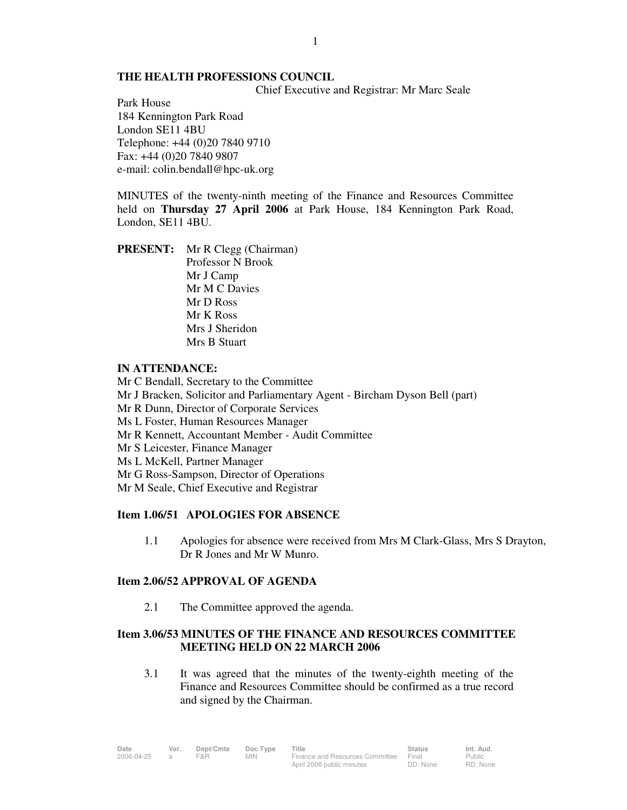# **THE HEALTH PROFESSIONS COUNCIL**

Chief Executive and Registrar: Mr Marc Seale

Park House 184 Kennington Park Road London SE11 4BU Telephone: +44 (0)20 7840 9710 Fax: +44 (0)20 7840 9807 e-mail: colin.bendall@hpc-uk.org

MINUTES of the twenty-ninth meeting of the Finance and Resources Committee held on **Thursday 27 April 2006** at Park House, 184 Kennington Park Road, London, SE11 4BU.

**PRESENT:** Mr R Clegg (Chairman) Professor N Brook Mr J Camp Mr M C Davies Mr D Ross Mr K Ross Mrs J Sheridon Mrs B Stuart

### **IN ATTENDANCE:**

Mr C Bendall, Secretary to the Committee Mr J Bracken, Solicitor and Parliamentary Agent - Bircham Dyson Bell (part) Mr R Dunn, Director of Corporate Services Ms L Foster, Human Resources Manager Mr R Kennett, Accountant Member - Audit Committee Mr S Leicester, Finance Manager Ms L McKell, Partner Manager Mr G Ross-Sampson, Director of Operations Mr M Seale, Chief Executive and Registrar

## **Item 1.06/51 APOLOGIES FOR ABSENCE**

1.1 Apologies for absence were received from Mrs M Clark-Glass, Mrs S Drayton, Dr R Jones and Mr W Munro.

### **Item 2.06/52 APPROVAL OF AGENDA**

2.1 The Committee approved the agenda.

# **Item 3.06/53 MINUTES OF THE FINANCE AND RESOURCES COMMITTEE MEETING HELD ON 22 MARCH 2006**

 3.1 It was agreed that the minutes of the twenty-eighth meeting of the Finance and Resources Committee should be confirmed as a true record and signed by the Chairman.

| Date       | Ver. | Dept/Cmte | Doc Type | Title                           | <b>Status</b> | Int. Aud. |
|------------|------|-----------|----------|---------------------------------|---------------|-----------|
| 2006-04-25 |      | F&R.      | MIN.     | Finance and Resources Committee | Final         | Public    |
|            |      |           |          | April 2006 public minutes       | DD: None      | RD: None  |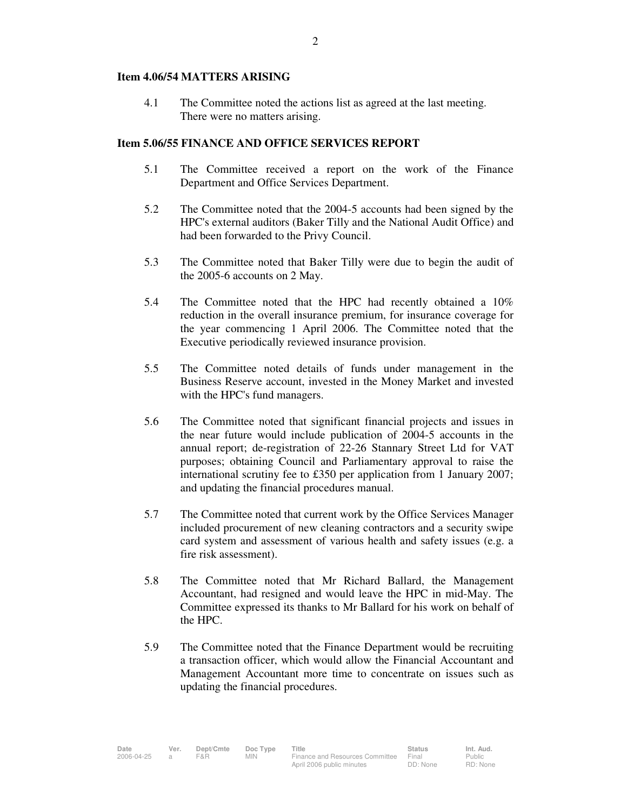### **Item 4.06/54 MATTERS ARISING**

 4.1 The Committee noted the actions list as agreed at the last meeting. There were no matters arising.

#### **Item 5.06/55 FINANCE AND OFFICE SERVICES REPORT**

- 5.1 The Committee received a report on the work of the Finance Department and Office Services Department.
- 5.2 The Committee noted that the 2004-5 accounts had been signed by the HPC's external auditors (Baker Tilly and the National Audit Office) and had been forwarded to the Privy Council.
- 5.3 The Committee noted that Baker Tilly were due to begin the audit of the 2005-6 accounts on 2 May.
- 5.4 The Committee noted that the HPC had recently obtained a 10% reduction in the overall insurance premium, for insurance coverage for the year commencing 1 April 2006. The Committee noted that the Executive periodically reviewed insurance provision.
- 5.5 The Committee noted details of funds under management in the Business Reserve account, invested in the Money Market and invested with the HPC's fund managers.
- 5.6 The Committee noted that significant financial projects and issues in the near future would include publication of 2004-5 accounts in the annual report; de-registration of 22-26 Stannary Street Ltd for VAT purposes; obtaining Council and Parliamentary approval to raise the international scrutiny fee to £350 per application from 1 January 2007; and updating the financial procedures manual.
- 5.7 The Committee noted that current work by the Office Services Manager included procurement of new cleaning contractors and a security swipe card system and assessment of various health and safety issues (e.g. a fire risk assessment).
- 5.8 The Committee noted that Mr Richard Ballard, the Management Accountant, had resigned and would leave the HPC in mid-May. The Committee expressed its thanks to Mr Ballard for his work on behalf of the HPC.
- 5.9 The Committee noted that the Finance Department would be recruiting a transaction officer, which would allow the Financial Accountant and Management Accountant more time to concentrate on issues such as updating the financial procedures.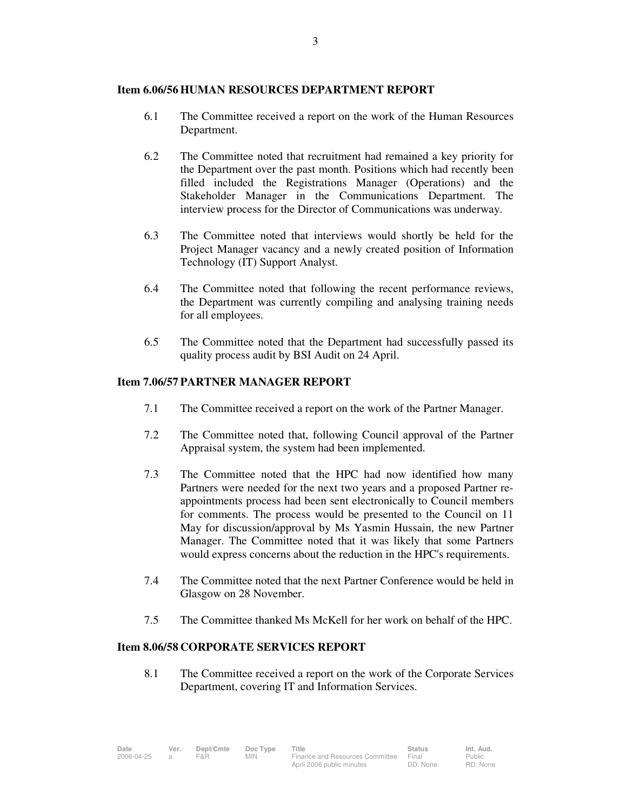# **Item 6.06/56 HUMAN RESOURCES DEPARTMENT REPORT**

- 6.1 The Committee received a report on the work of the Human Resources Department.
- 6.2 The Committee noted that recruitment had remained a key priority for the Department over the past month. Positions which had recently been filled included the Registrations Manager (Operations) and the Stakeholder Manager in the Communications Department. The interview process for the Director of Communications was underway.
- 6.3 The Committee noted that interviews would shortly be held for the Project Manager vacancy and a newly created position of Information Technology (IT) Support Analyst.
- 6.4 The Committee noted that following the recent performance reviews, the Department was currently compiling and analysing training needs for all employees.
- 6.5 The Committee noted that the Department had successfully passed its quality process audit by BSI Audit on 24 April.

# **Item 7.06/57 PARTNER MANAGER REPORT**

- 7.1 The Committee received a report on the work of the Partner Manager.
- 7.2 The Committee noted that, following Council approval of the Partner Appraisal system, the system had been implemented.
- 7.3 The Committee noted that the HPC had now identified how many Partners were needed for the next two years and a proposed Partner reappointments process had been sent electronically to Council members for comments. The process would be presented to the Council on 11 May for discussion/approval by Ms Yasmin Hussain, the new Partner Manager. The Committee noted that it was likely that some Partners would express concerns about the reduction in the HPC's requirements.
- 7.4 The Committee noted that the next Partner Conference would be held in Glasgow on 28 November.
- 7.5 The Committee thanked Ms McKell for her work on behalf of the HPC.

# **Item 8.06/58 CORPORATE SERVICES REPORT**

8.1 The Committee received a report on the work of the Corporate Services Department, covering IT and Information Services.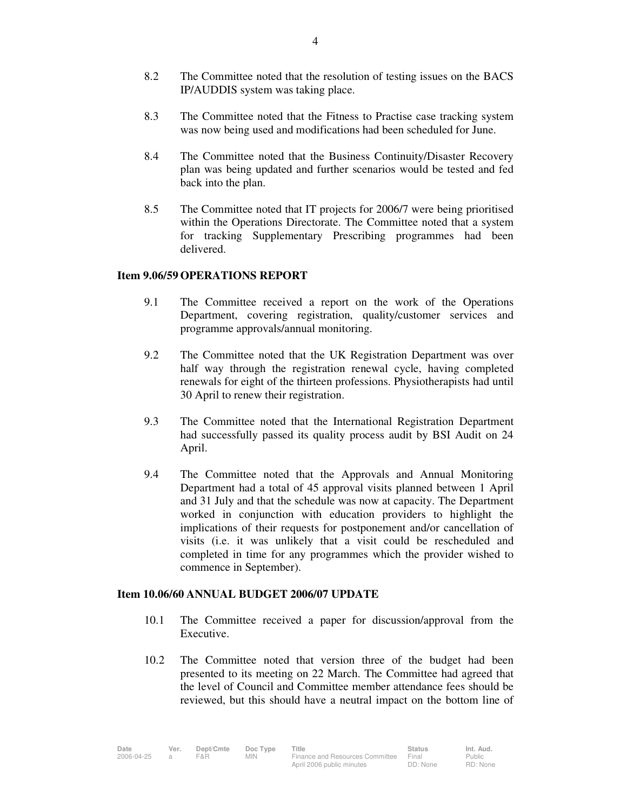- 8.2 The Committee noted that the resolution of testing issues on the BACS IP/AUDDIS system was taking place.
- 8.3 The Committee noted that the Fitness to Practise case tracking system was now being used and modifications had been scheduled for June.
- 8.4 The Committee noted that the Business Continuity/Disaster Recovery plan was being updated and further scenarios would be tested and fed back into the plan.
- 8.5 The Committee noted that IT projects for 2006/7 were being prioritised within the Operations Directorate. The Committee noted that a system for tracking Supplementary Prescribing programmes had been delivered.

### **Item 9.06/59 OPERATIONS REPORT**

- 9.1 The Committee received a report on the work of the Operations Department, covering registration, quality/customer services and programme approvals/annual monitoring.
- 9.2 The Committee noted that the UK Registration Department was over half way through the registration renewal cycle, having completed renewals for eight of the thirteen professions. Physiotherapists had until 30 April to renew their registration.
- 9.3 The Committee noted that the International Registration Department had successfully passed its quality process audit by BSI Audit on 24 April.
- 9.4 The Committee noted that the Approvals and Annual Monitoring Department had a total of 45 approval visits planned between 1 April and 31 July and that the schedule was now at capacity. The Department worked in conjunction with education providers to highlight the implications of their requests for postponement and/or cancellation of visits (i.e. it was unlikely that a visit could be rescheduled and completed in time for any programmes which the provider wished to commence in September).

### **Item 10.06/60 ANNUAL BUDGET 2006/07 UPDATE**

- 10.1 The Committee received a paper for discussion/approval from the Executive.
- 10.2 The Committee noted that version three of the budget had been presented to its meeting on 22 March. The Committee had agreed that the level of Council and Committee member attendance fees should be reviewed, but this should have a neutral impact on the bottom line of

| Date       | Ver. | Dept/Cmte | Doc Type   | Title                           | <b>Status</b> | Int. Aud. |
|------------|------|-----------|------------|---------------------------------|---------------|-----------|
| 2006-04-25 |      | F&R       | <b>MIN</b> | Finance and Resources Committee | Final         | Public    |
|            |      |           |            | April 2006 public minutes       | DD: None      | RD: None  |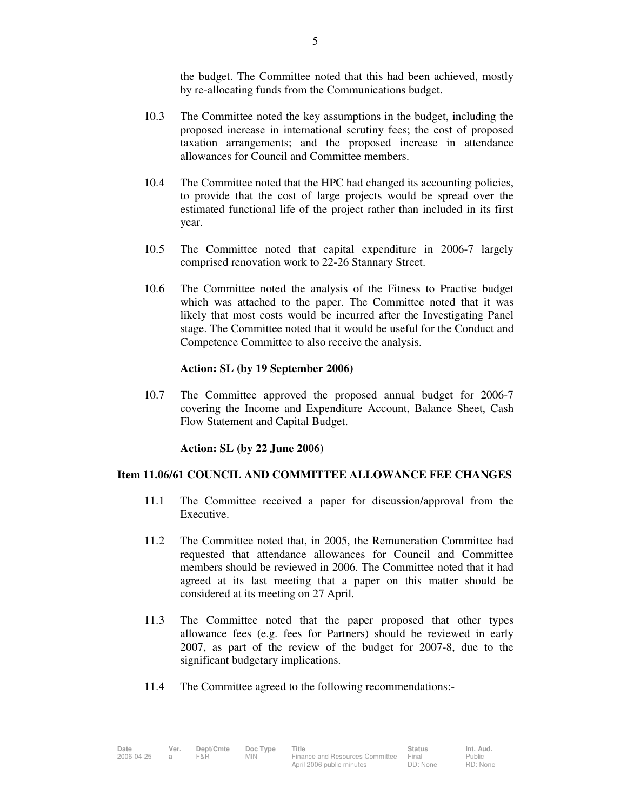the budget. The Committee noted that this had been achieved, mostly by re-allocating funds from the Communications budget.

- 10.3 The Committee noted the key assumptions in the budget, including the proposed increase in international scrutiny fees; the cost of proposed taxation arrangements; and the proposed increase in attendance allowances for Council and Committee members.
- 10.4 The Committee noted that the HPC had changed its accounting policies, to provide that the cost of large projects would be spread over the estimated functional life of the project rather than included in its first year.
- 10.5 The Committee noted that capital expenditure in 2006-7 largely comprised renovation work to 22-26 Stannary Street.
- 10.6 The Committee noted the analysis of the Fitness to Practise budget which was attached to the paper. The Committee noted that it was likely that most costs would be incurred after the Investigating Panel stage. The Committee noted that it would be useful for the Conduct and Competence Committee to also receive the analysis.

### **Action: SL (by 19 September 2006)**

10.7 The Committee approved the proposed annual budget for 2006-7 covering the Income and Expenditure Account, Balance Sheet, Cash Flow Statement and Capital Budget.

#### **Action: SL (by 22 June 2006)**

# **Item 11.06/61 COUNCIL AND COMMITTEE ALLOWANCE FEE CHANGES**

- 11.1 The Committee received a paper for discussion/approval from the Executive.
- 11.2 The Committee noted that, in 2005, the Remuneration Committee had requested that attendance allowances for Council and Committee members should be reviewed in 2006. The Committee noted that it had agreed at its last meeting that a paper on this matter should be considered at its meeting on 27 April.
- 11.3 The Committee noted that the paper proposed that other types allowance fees (e.g. fees for Partners) should be reviewed in early 2007, as part of the review of the budget for 2007-8, due to the significant budgetary implications.
- 11.4 The Committee agreed to the following recommendations:-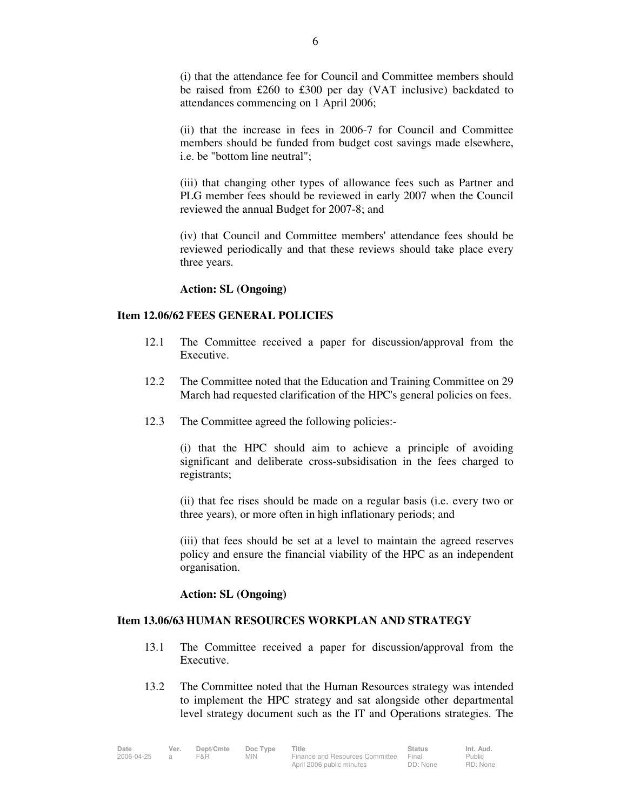(i) that the attendance fee for Council and Committee members should be raised from £260 to £300 per day (VAT inclusive) backdated to attendances commencing on 1 April 2006;

 (ii) that the increase in fees in 2006-7 for Council and Committee members should be funded from budget cost savings made elsewhere, i.e. be "bottom line neutral";

 (iii) that changing other types of allowance fees such as Partner and PLG member fees should be reviewed in early 2007 when the Council reviewed the annual Budget for 2007-8; and

 (iv) that Council and Committee members' attendance fees should be reviewed periodically and that these reviews should take place every three years.

#### **Action: SL (Ongoing)**

## **Item 12.06/62 FEES GENERAL POLICIES**

- 12.1 The Committee received a paper for discussion/approval from the Executive.
- 12.2 The Committee noted that the Education and Training Committee on 29 March had requested clarification of the HPC's general policies on fees.
- 12.3 The Committee agreed the following policies:-

 (i) that the HPC should aim to achieve a principle of avoiding significant and deliberate cross-subsidisation in the fees charged to registrants;

 (ii) that fee rises should be made on a regular basis (i.e. every two or three years), or more often in high inflationary periods; and

 (iii) that fees should be set at a level to maintain the agreed reserves policy and ensure the financial viability of the HPC as an independent organisation.

#### **Action: SL (Ongoing)**

### **Item 13.06/63 HUMAN RESOURCES WORKPLAN AND STRATEGY**

- 13.1 The Committee received a paper for discussion/approval from the Executive.
- 13.2 The Committee noted that the Human Resources strategy was intended to implement the HPC strategy and sat alongside other departmental level strategy document such as the IT and Operations strategies. The

| Date       | Ver. | Dept/Cmte | Doc Type | Title                           | <b>Status</b> | Int. Aud. |
|------------|------|-----------|----------|---------------------------------|---------------|-----------|
| 2006-04-25 |      | F&R       | MIN.     | Finance and Resources Committee | Final         | Public    |
|            |      |           |          | April 2006 public minutes       | DD: None      | RD: None  |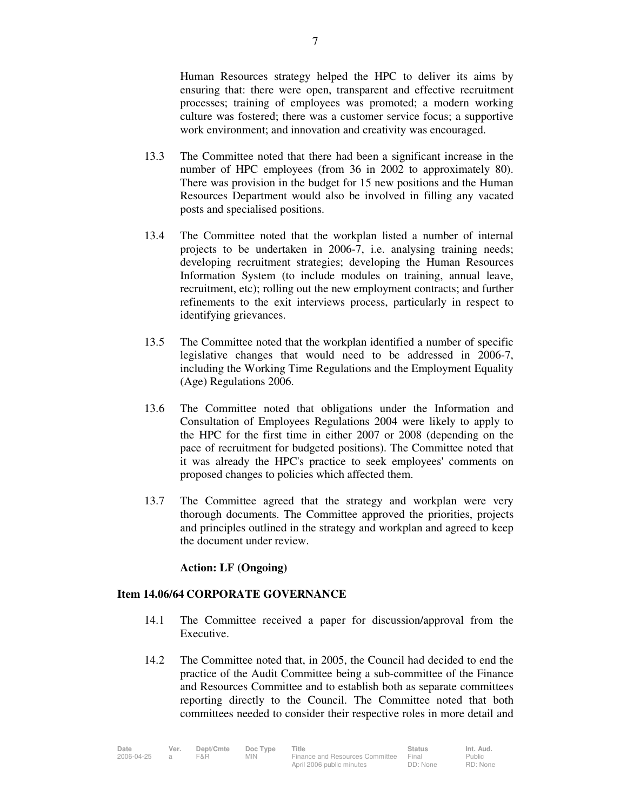Human Resources strategy helped the HPC to deliver its aims by ensuring that: there were open, transparent and effective recruitment processes; training of employees was promoted; a modern working culture was fostered; there was a customer service focus; a supportive work environment; and innovation and creativity was encouraged.

- 13.3 The Committee noted that there had been a significant increase in the number of HPC employees (from 36 in 2002 to approximately 80). There was provision in the budget for 15 new positions and the Human Resources Department would also be involved in filling any vacated posts and specialised positions.
- 13.4 The Committee noted that the workplan listed a number of internal projects to be undertaken in 2006-7, i.e. analysing training needs; developing recruitment strategies; developing the Human Resources Information System (to include modules on training, annual leave, recruitment, etc); rolling out the new employment contracts; and further refinements to the exit interviews process, particularly in respect to identifying grievances.
- 13.5 The Committee noted that the workplan identified a number of specific legislative changes that would need to be addressed in 2006-7, including the Working Time Regulations and the Employment Equality (Age) Regulations 2006.
- 13.6 The Committee noted that obligations under the Information and Consultation of Employees Regulations 2004 were likely to apply to the HPC for the first time in either 2007 or 2008 (depending on the pace of recruitment for budgeted positions). The Committee noted that it was already the HPC's practice to seek employees' comments on proposed changes to policies which affected them.
- 13.7 The Committee agreed that the strategy and workplan were very thorough documents. The Committee approved the priorities, projects and principles outlined in the strategy and workplan and agreed to keep the document under review.

### **Action: LF (Ongoing)**

### **Item 14.06/64 CORPORATE GOVERNANCE**

- 14.1 The Committee received a paper for discussion/approval from the Executive.
- 14.2 The Committee noted that, in 2005, the Council had decided to end the practice of the Audit Committee being a sub-committee of the Finance and Resources Committee and to establish both as separate committees reporting directly to the Council. The Committee noted that both committees needed to consider their respective roles in more detail and

| Date       | Ver. | Dept/Cmte | Doc Type   | Title                           | <b>Status</b> | Int. Aud. |
|------------|------|-----------|------------|---------------------------------|---------------|-----------|
| 2006-04-25 |      | F&R       | <b>MIN</b> | Finance and Resources Committee | Final         | Public    |
|            |      |           |            | April 2006 public minutes       | DD: None      | RD: None  |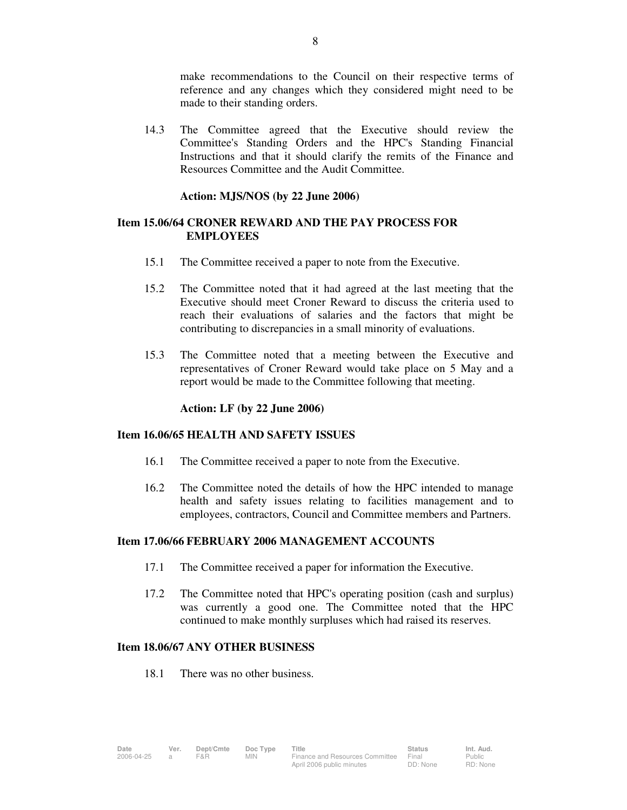make recommendations to the Council on their respective terms of reference and any changes which they considered might need to be made to their standing orders.

 14.3 The Committee agreed that the Executive should review the Committee's Standing Orders and the HPC's Standing Financial Instructions and that it should clarify the remits of the Finance and Resources Committee and the Audit Committee.

# **Action: MJS/NOS (by 22 June 2006)**

# **Item 15.06/64 CRONER REWARD AND THE PAY PROCESS FOR EMPLOYEES**

- 15.1 The Committee received a paper to note from the Executive.
- 15.2 The Committee noted that it had agreed at the last meeting that the Executive should meet Croner Reward to discuss the criteria used to reach their evaluations of salaries and the factors that might be contributing to discrepancies in a small minority of evaluations.
- 15.3 The Committee noted that a meeting between the Executive and representatives of Croner Reward would take place on 5 May and a report would be made to the Committee following that meeting.

### **Action: LF (by 22 June 2006)**

## **Item 16.06/65 HEALTH AND SAFETY ISSUES**

- 16.1 The Committee received a paper to note from the Executive.
- 16.2 The Committee noted the details of how the HPC intended to manage health and safety issues relating to facilities management and to employees, contractors, Council and Committee members and Partners.

### **Item 17.06/66 FEBRUARY 2006 MANAGEMENT ACCOUNTS**

- 17.1 The Committee received a paper for information the Executive.
- 17.2 The Committee noted that HPC's operating position (cash and surplus) was currently a good one. The Committee noted that the HPC continued to make monthly surpluses which had raised its reserves.

# **Item 18.06/67 ANY OTHER BUSINESS**

18.1 There was no other business.